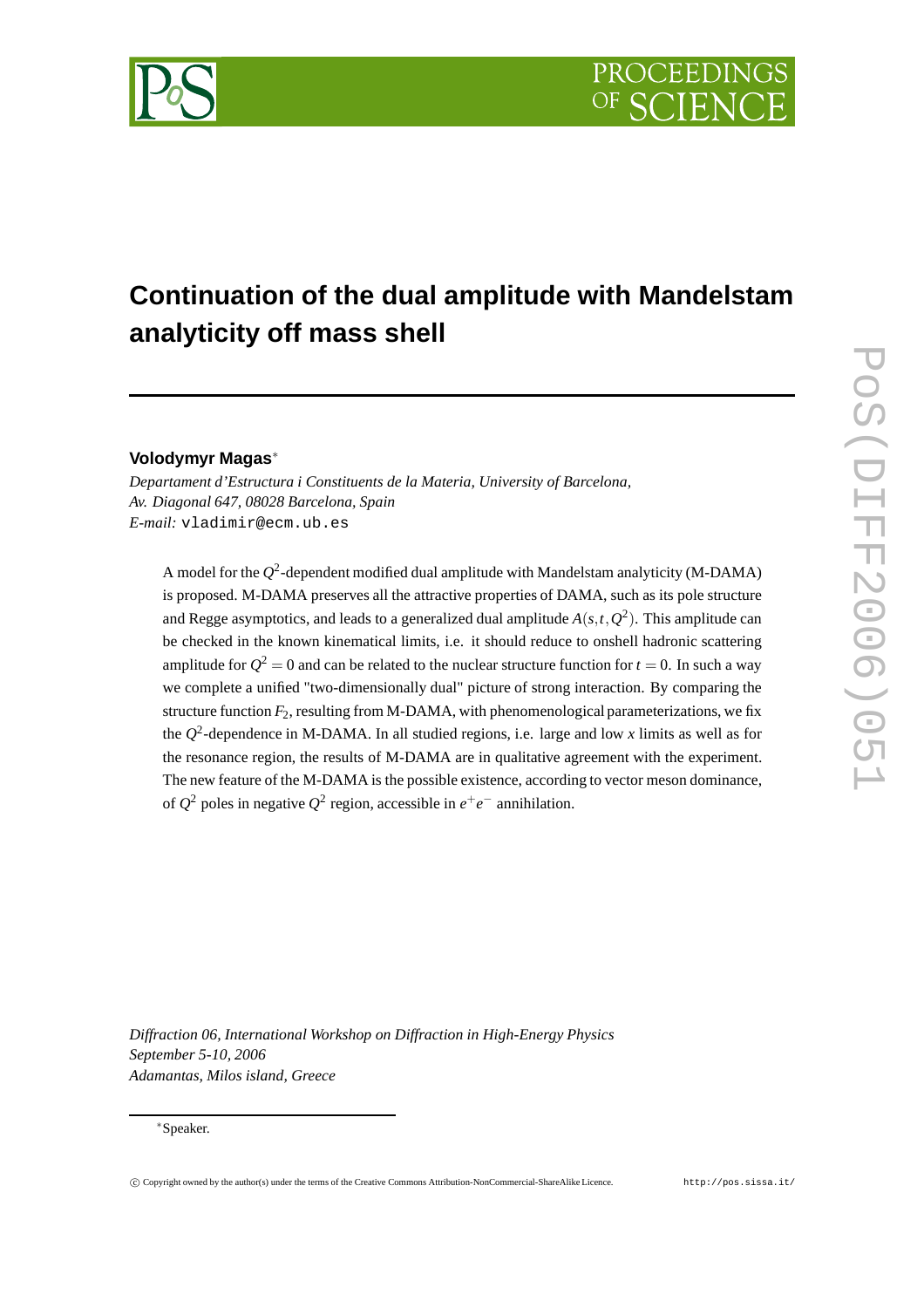## **Continuation of the dual amplitude with Mandelstam analyticity off mass shell**

## **Volodymyr Magas**<sup>∗</sup>

*Departament d'Estructura i Constituents de la Materia, University of Barcelona, Av. Diagonal 647, 08028 Barcelona, Spain E-mail:* vladimir@ecm.ub.es

A model for the  $Q^2$ -dependent modified dual amplitude with Mandelstam analyticity (M-DAMA) is proposed. M-DAMA preserves all the attractive properties of DAMA, such as its pole structure and Regge asymptotics, and leads to a generalized dual amplitude  $A(s,t,Q^2)$ . This amplitude can be checked in the known kinematical limits, i.e. it should reduce to onshell hadronic scattering amplitude for  $Q^2 = 0$  and can be related to the nuclear structure function for  $t = 0$ . In such a way we complete a unified "two-dimensionally dual" picture of strong interaction. By comparing the structure function  $F_2$ , resulting from M-DAMA, with phenomenological parameterizations, we fix the *Q* 2 -dependence in M-DAMA. In all studied regions, i.e. large and low *x* limits as well as for the resonance region, the results of M-DAMA are in qualitative agreement with the experiment. The new feature of the M-DAMA is the possible existence, according to vector meson dominance, of  $Q^2$  poles in negative  $Q^2$  region, accessible in  $e^+e^-$  annihilation.

*Diffraction 06, International Workshop on Diffraction in High-Energy Physics September 5-10, 2006 Adamantas, Milos island, Greece*

## <sup>∗</sup>Speaker.

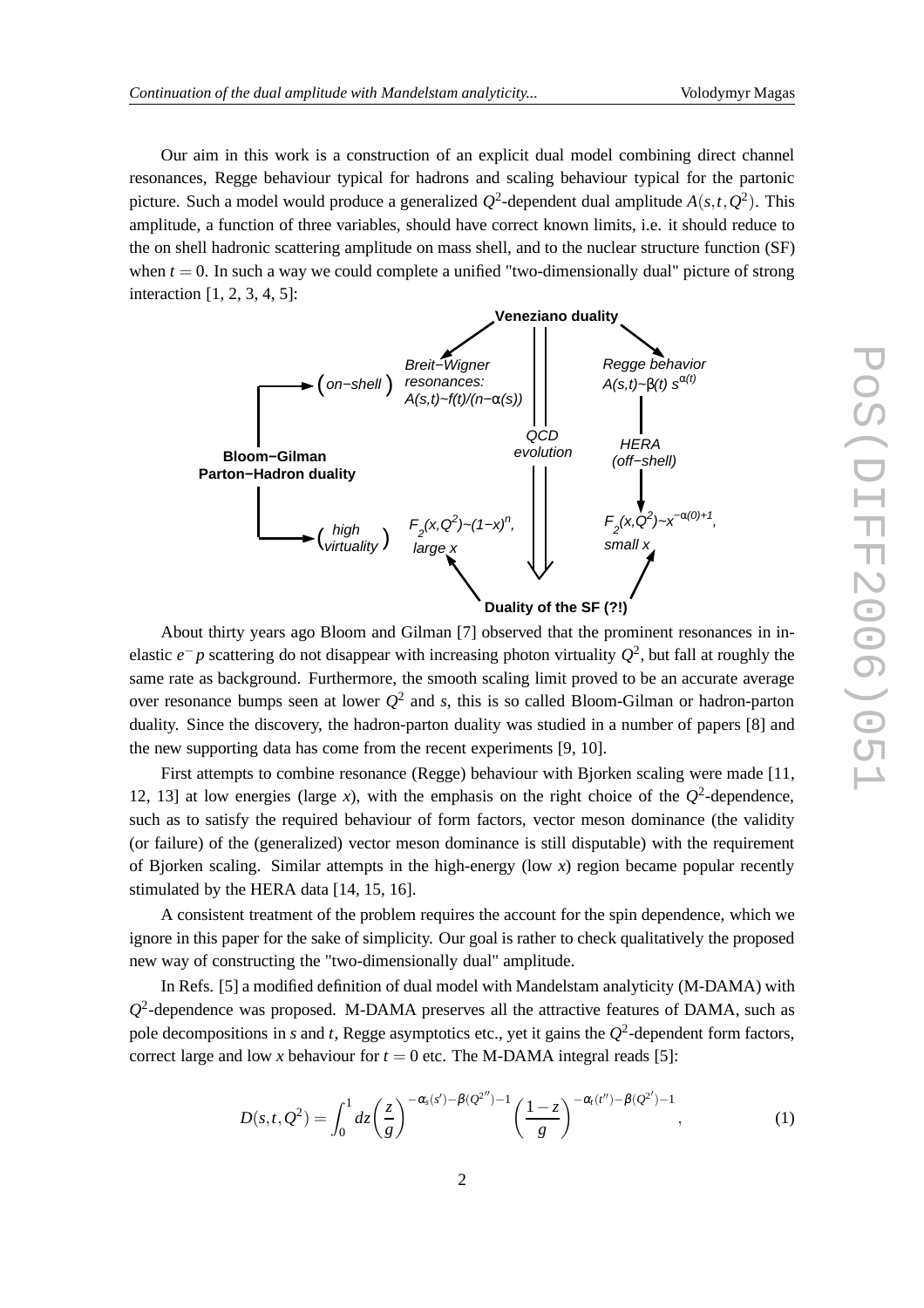Our aim in this work is a construction of an explicit dual model combining direct channel resonances, Regge behaviour typical for hadrons and scaling behaviour typical for the partonic picture. Such a model would produce a generalized  $Q^2$ -dependent dual amplitude  $A(s,t,Q^2)$ . This amplitude, a function of three variables, should have correct known limits, i.e. it should reduce to the on shell hadronic scattering amplitude on mass shell, and to the nuclear structure function (SF) when  $t = 0$ . In such a way we could complete a unified "two-dimensionally dual" picture of strong interaction [1, 2, 3, 4, 5]:



About thirty years ago Bloom and Gilman [7] observed that the prominent resonances in inelastic  $e^-p$  scattering do not disappear with increasing photon virtuality  $Q^2$ , but fall at roughly the same rate as background. Furthermore, the smooth scaling limit proved to be an accurate average over resonance bumps seen at lower  $Q^2$  and *s*, this is so called Bloom-Gilman or hadron-parton duality. Since the discovery, the hadron-parton duality was studied in a number of papers [8] and the new supporting data has come from the recent experiments [9, 10].

First attempts to combine resonance (Regge) behaviour with Bjorken scaling were made [11, 12, 13] at low energies (large *x*), with the emphasis on the right choice of the  $Q^2$ -dependence, such as to satisfy the required behaviour of form factors, vector meson dominance (the validity (or failure) of the (generalized) vector meson dominance is still disputable) with the requirement of Bjorken scaling. Similar attempts in the high-energy (low *x*) region became popular recently stimulated by the HERA data [14, 15, 16].

A consistent treatment of the problem requires the account for the spin dependence, which we ignore in this paper for the sake of simplicity. Our goal is rather to check qualitatively the proposed new way of constructing the "two-dimensionally dual" amplitude.

In Refs. [5] a modified definition of dual model with Mandelstam analyticity (M-DAMA) with  $Q<sup>2</sup>$ -dependence was proposed. M-DAMA preserves all the attractive features of DAMA, such as pole decompositions in *s* and *t*, Regge asymptotics etc., yet it gains the  $Q^2$ -dependent form factors, correct large and low *x* behaviour for  $t = 0$  etc. The M-DAMA integral reads [5]:

$$
D(s,t,Q^2) = \int_0^1 dz \left(\frac{z}{g}\right)^{-\alpha_s(s')-\beta(Q^{2''})-1} \left(\frac{1-z}{g}\right)^{-\alpha_t(t'')-\beta(Q^{2'})-1},\tag{1}
$$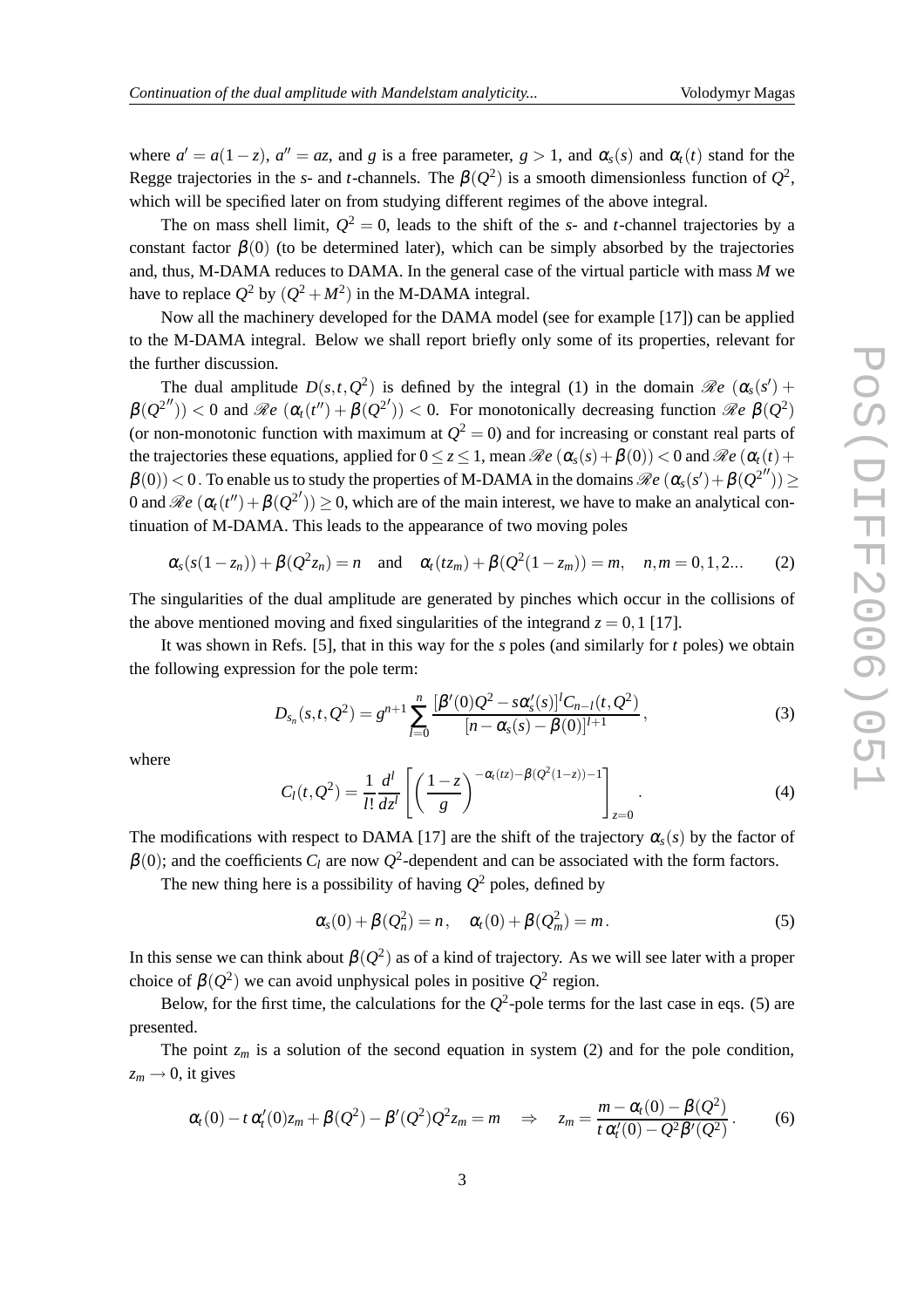where  $a' = a(1-z)$ ,  $a'' = az$ , and *g* is a free parameter,  $g > 1$ , and  $\alpha_s(s)$  and  $\alpha_t(t)$  stand for the Regge trajectories in the *s*- and *t*-channels. The  $\beta(Q^2)$  is a smooth dimensionless function of  $Q^2$ , which will be specified later on from studying different regimes of the above integral.

The on mass shell limit,  $Q^2 = 0$ , leads to the shift of the *s*- and *t*-channel trajectories by a constant factor  $\beta(0)$  (to be determined later), which can be simply absorbed by the trajectories and, thus, M-DAMA reduces to DAMA. In the general case of the virtual particle with mass *M* we have to replace  $Q^2$  by  $(Q^2 + M^2)$  in the M-DAMA integral.

Now all the machinery developed for the DAMA model (see for example [17]) can be applied to the M-DAMA integral. Below we shall report briefly only some of its properties, relevant for the further discussion.

The dual amplitude  $D(s,t,Q^2)$  is defined by the integral (1) in the domain  $\Re e$  ( $\alpha_s(s')$  +  $\beta(Q^{2''})$ ) < 0 and  $\Re e$  ( $\alpha_t(t'') + \beta(Q^{2'})$ ) < 0. For monotonically decreasing function  $\Re e$   $\beta(Q^2)$ (or non-monotonic function with maximum at  $Q^2 = 0$ ) and for increasing or constant real parts of the trajectories these equations, applied for  $0 \le z \le 1$ , mean  $\Re e (\alpha_s(s) + \beta(0)) \le 0$  and  $\Re e (\alpha_t(t) +$  $\beta(0))$  < 0. To enable us to study the properties of M-DAMA in the domains  $\Re e$   $(\alpha_s(s') + \beta(Q^{2''})) \ge$ 0 and  $\Re e$   $(\alpha_t(t'') + \beta(Q^{2'})) \ge 0$ , which are of the main interest, we have to make an analytical continuation of M-DAMA. This leads to the appearance of two moving poles

$$
\alpha_s(s(1-z_n)) + \beta(Q^2 z_n) = n
$$
 and  $\alpha_t(t z_m) + \beta(Q^2(1-z_m)) = m$ ,  $n, m = 0, 1, 2...$  (2)

The singularities of the dual amplitude are generated by pinches which occur in the collisions of the above mentioned moving and fixed singularities of the integrand  $z = 0.1$  [17].

It was shown in Refs. [5], that in this way for the *s* poles (and similarly for *t* poles) we obtain the following expression for the pole term:

$$
D_{s_n}(s,t,Q^2) = g^{n+1} \sum_{l=0}^n \frac{[\beta'(0)Q^2 - s\alpha'_s(s)]^l C_{n-l}(t,Q^2)}{[n-\alpha_s(s)-\beta(0)]^{l+1}},
$$
\n(3)

where

$$
C_l(t,Q^2) = \frac{1}{l!} \frac{d^l}{dz^l} \left[ \left( \frac{1-z}{g} \right)^{-\alpha_l(tz) - \beta(Q^2(1-z))-1} \right]_{z=0}.
$$
 (4)

The modifications with respect to DAMA [17] are the shift of the trajectory  $\alpha_s(s)$  by the factor of  $\beta(0)$ ; and the coefficients  $C_l$  are now  $Q^2$ -dependent and can be associated with the form factors.

The new thing here is a possibility of having  $Q^2$  poles, defined by

$$
\alpha_s(0) + \beta(Q_n^2) = n, \quad \alpha_t(0) + \beta(Q_m^2) = m. \tag{5}
$$

In this sense we can think about  $\beta(Q^2)$  as of a kind of trajectory. As we will see later with a proper choice of  $\beta(Q^2)$  we can avoid unphysical poles in positive  $Q^2$  region.

Below, for the first time, the calculations for the  $Q^2$ -pole terms for the last case in eqs. (5) are presented.

The point  $z_m$  is a solution of the second equation in system (2) and for the pole condition,  $z_m \rightarrow 0$ , it gives

$$
\alpha_t(0) - t \alpha'_t(0) z_m + \beta(Q^2) - \beta'(Q^2) Q^2 z_m = m \quad \Rightarrow \quad z_m = \frac{m - \alpha_t(0) - \beta(Q^2)}{t \alpha'_t(0) - Q^2 \beta'(Q^2)}.
$$
 (6)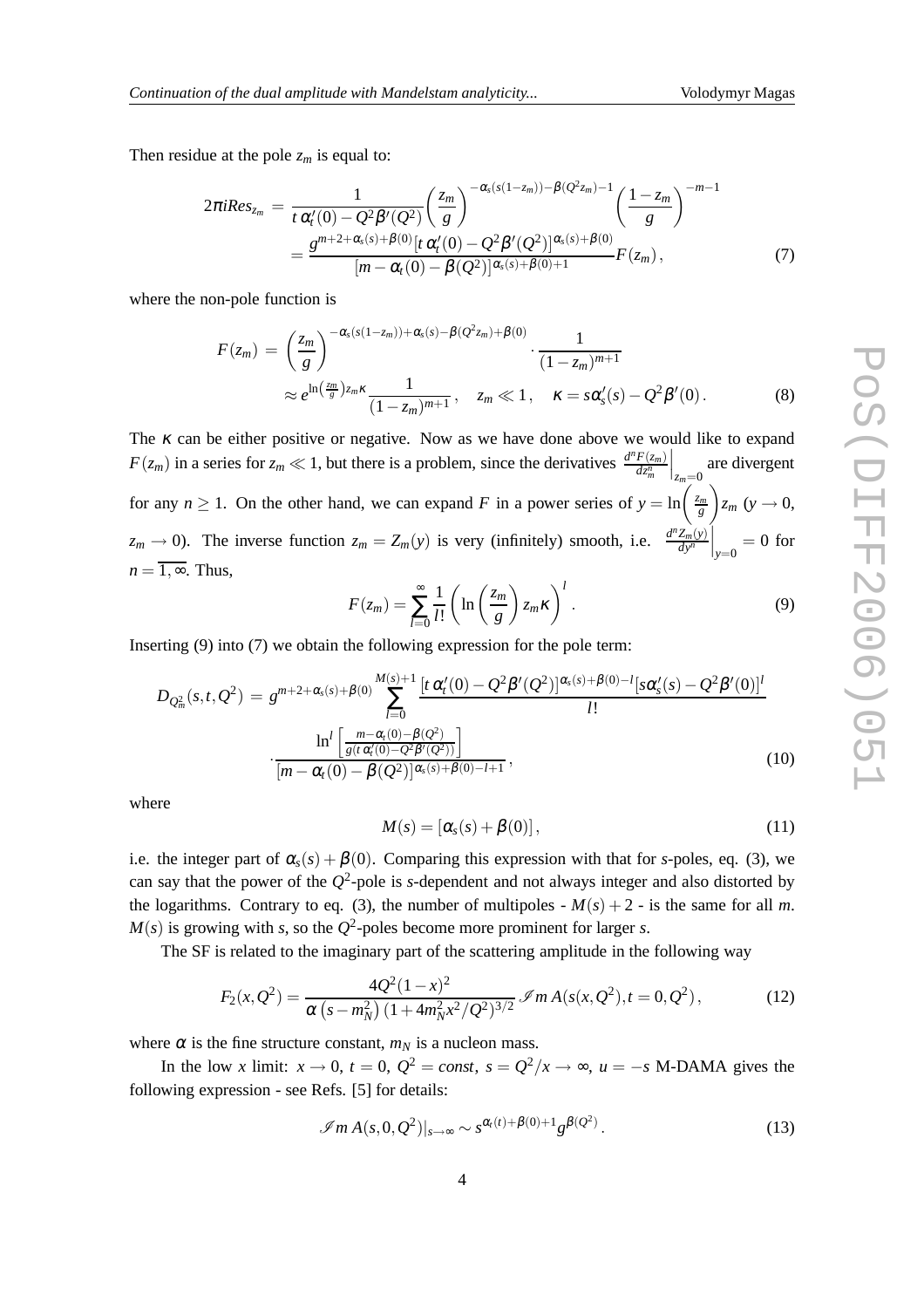Then residue at the pole  $z_m$  is equal to:

$$
2\pi i Res_{z_m} = \frac{1}{t \alpha'_t(0) - Q^2 \beta'(Q^2)} \left(\frac{z_m}{g}\right)^{-\alpha_s(s(1-z_m)) - \beta(Q^2 z_m) - 1} \left(\frac{1 - z_m}{g}\right)^{-m-1}
$$
  
= 
$$
\frac{g^{m+2+\alpha_s(s) + \beta(0)} [t \alpha'_t(0) - Q^2 \beta'(Q^2)]^{\alpha_s(s) + \beta(0)}}{[m - \alpha_t(0) - \beta(Q^2)]^{\alpha_s(s) + \beta(0) + 1}} F(z_m),
$$
 (7)

where the non-pole function is

$$
F(z_m) = \left(\frac{z_m}{g}\right)^{-\alpha_s(s(1-z_m))+\alpha_s(s)-\beta(Q^2 z_m)+\beta(0)} \cdot \frac{1}{(1-z_m)^{m+1}} \approx e^{\ln\left(\frac{z_m}{g}\right)z_m\kappa} \frac{1}{(1-z_m)^{m+1}}, \quad z_m \ll 1, \quad \kappa = s\alpha_s'(s) - Q^2\beta'(0).
$$
\n(8)

The  $\kappa$  can be either positive or negative. Now as we have done above we would like to expand  $F(z_m)$  in a series for  $z_m \ll 1$ , but there is a problem, since the derivatives  $\frac{d^n F(z_m)}{dz^n}$ *dz<sup>n</sup> m*  $\Big|_{z_m=0}$  are divergent for any  $n \ge 1$ . On the other hand, we can expand *F* in a power series of  $y = \ln\left(\frac{z_m}{g}\right)$  $\bigg\}z_m$  (*y*  $\rightarrow$  0,  $z_m \to 0$ ). The inverse function  $z_m = Z_m(y)$  is very (infinitely) smooth, i.e.  $\frac{d^n Z_m(y)}{dy^n}$  $\left.\frac{Z_m(y)}{dy^n}\right|_{y=0} = 0$  for  $n = \overline{1, \infty}$ . Thus,

$$
F(z_m) = \sum_{l=0}^{\infty} \frac{1}{l!} \left( \ln \left( \frac{z_m}{g} \right) z_m \kappa \right)^l.
$$
 (9)

Inserting (9) into (7) we obtain the following expression for the pole term:

$$
D_{Q_m^2}(s,t,Q^2) = g^{m+2+\alpha_s(s)+\beta(0)} \sum_{l=0}^{M(s)+1} \frac{[t \alpha_l'(0) - Q^2 \beta'(Q^2)]^{\alpha_s(s)+\beta(0)-l} [s \alpha_s'(s) - Q^2 \beta'(0)]^l}{l!}
$$

$$
\cdot \frac{\ln^l \left[ \frac{m-\alpha_l(0)-\beta(Q^2)}{g(t \alpha_l'(0) - Q^2 \beta'(Q^2))} \right]}{[m-\alpha_l(0) - \beta(Q^2)]^{\alpha_s(s)+\beta(0)-l+1}},
$$
(10)

where

$$
M(s) = [\alpha_s(s) + \beta(0)], \qquad (11)
$$

i.e. the integer part of  $\alpha_s(s) + \beta(0)$ . Comparing this expression with that for *s*-poles, eq. (3), we can say that the power of the  $Q^2$ -pole is *s*-dependent and not always integer and also distorted by the logarithms. Contrary to eq. (3), the number of multipoles -  $M(s) + 2$  - is the same for all *m*.  $M(s)$  is growing with *s*, so the  $Q^2$ -poles become more prominent for larger *s*.

The SF is related to the imaginary part of the scattering amplitude in the following way

$$
F_2(x, Q^2) = \frac{4Q^2(1-x)^2}{\alpha\left(s - m_N^2\right)(1 + 4m_N^2x^2/Q^2)^{3/2}} \mathcal{I}m\,A(s(x, Q^2), t = 0, Q^2)\,,\tag{12}
$$

where  $\alpha$  is the fine structure constant,  $m_N$  is a nucleon mass.

In the low *x* limit:  $x \to 0$ ,  $t = 0$ ,  $Q^2 = const$ ,  $s = Q^2/x \to \infty$ ,  $u = -s$  M-DAMA gives the following expression - see Refs. [5] for details:

$$
\mathcal{I}m A(s,0,Q^2)|_{s\to\infty} \sim s^{\alpha_i(t)+\beta(0)+1} g^{\beta(Q^2)}.
$$
 (13)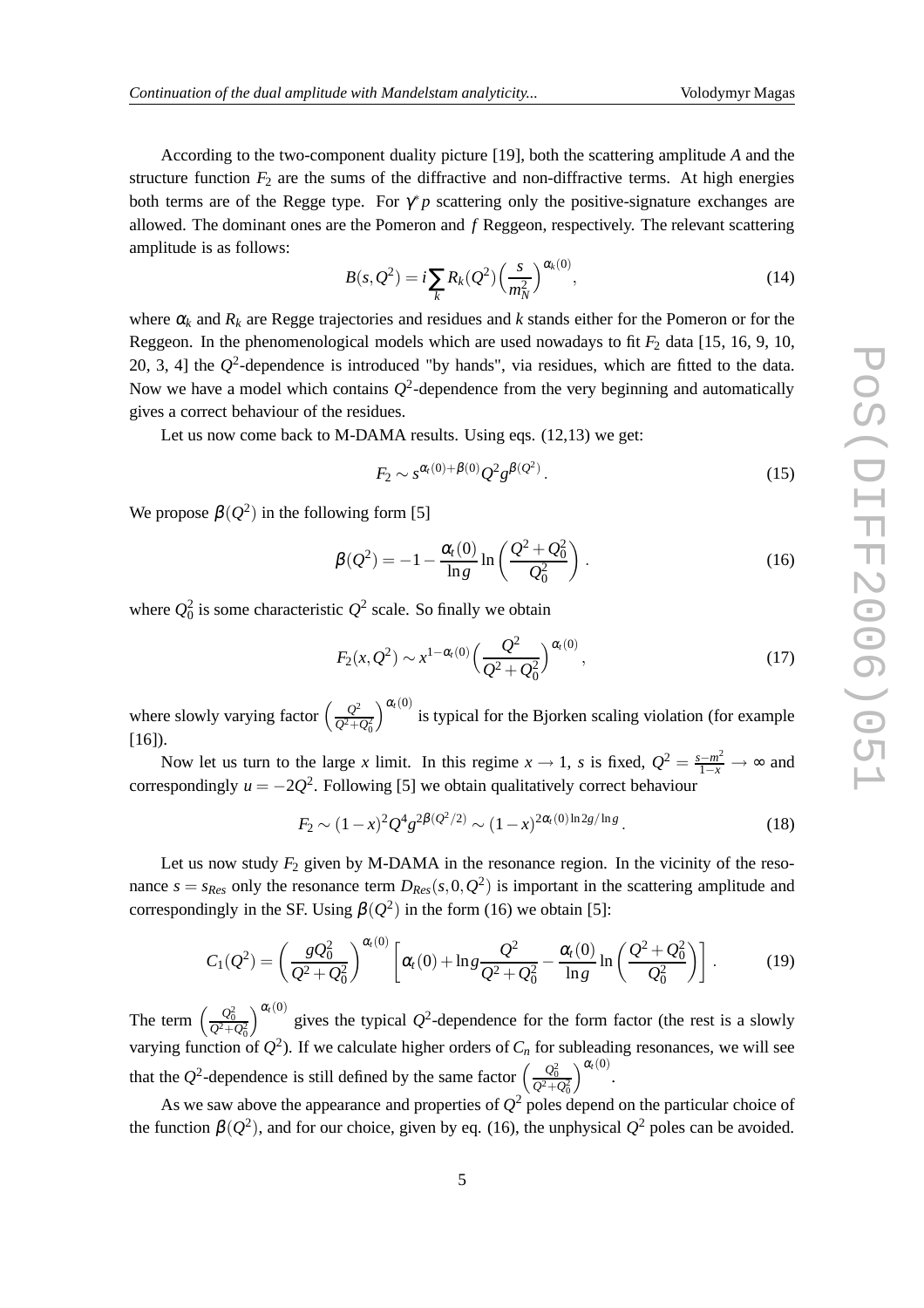According to the two-component duality picture [19], both the scattering amplitude *A* and the structure function  $F_2$  are the sums of the diffractive and non-diffractive terms. At high energies both terms are of the Regge type. For  $\gamma^* p$  scattering only the positive-signature exchanges are allowed. The dominant ones are the Pomeron and *f* Reggeon, respectively. The relevant scattering amplitude is as follows:

$$
B(s, Q^2) = i \sum_{k} R_k(Q^2) \left(\frac{s}{m_N^2}\right)^{\alpha_k(0)},
$$
\n(14)

where  $\alpha_k$  and  $R_k$  are Regge trajectories and residues and *k* stands either for the Pomeron or for the Reggeon. In the phenomenological models which are used nowadays to fit  $F_2$  data [15, 16, 9, 10, 20, 3, 4] the  $Q^2$ -dependence is introduced "by hands", via residues, which are fitted to the data. Now we have a model which contains  $Q^2$ -dependence from the very beginning and automatically gives a correct behaviour of the residues.

Let us now come back to M-DAMA results. Using eqs. (12,13) we get:

$$
F_2 \sim s^{\alpha/(0) + \beta(0)} Q^2 g^{\beta(Q^2)}.
$$
\n(15)

We propose  $\beta(Q^2)$  in the following form [5]

$$
\beta(Q^2) = -1 - \frac{\alpha_t(0)}{\ln g} \ln \left( \frac{Q^2 + Q_0^2}{Q_0^2} \right).
$$
 (16)

where  $Q_0^2$  is some characteristic  $Q^2$  scale. So finally we obtain

$$
F_2(x, Q^2) \sim x^{1-\alpha_t(0)} \left(\frac{Q^2}{Q^2 + Q_0^2}\right)^{\alpha_t(0)},\tag{17}
$$

where slowly varying factor  $\left(\frac{Q^2}{Q_{\perp}^2}\right)$  $Q^2 + Q_0^2$  $a_{t}(0)$  is typical for the Bjorken scaling violation (for example  $[16]$ ).

Now let us turn to the large *x* limit. In this regime  $x \to 1$ , *s* is fixed,  $Q^2 = \frac{s - m^2}{1 - x} \to \infty$  and correspondingly  $u = -2Q^2$ . Following [5] we obtain qualitatively correct behaviour

$$
F_2 \sim (1-x)^2 Q^4 g^{2\beta(Q^2/2)} \sim (1-x)^{2\alpha_t(0)\ln 2g/\ln g}.
$$
 (18)

Let us now study  $F_2$  given by M-DAMA in the resonance region. In the vicinity of the resonance  $s = s_{Res}$  only the resonance term  $D_{Res}(s, 0, Q^2)$  is important in the scattering amplitude and correspondingly in the SF. Using  $\beta(Q^2)$  in the form (16) we obtain [5]:

$$
C_1(Q^2) = \left(\frac{gQ_0^2}{Q^2 + Q_0^2}\right)^{\alpha_t(0)} \left[\alpha_t(0) + \ln g \frac{Q^2}{Q^2 + Q_0^2} - \frac{\alpha_t(0)}{\ln g} \ln \left(\frac{Q^2 + Q_0^2}{Q_0^2}\right)\right].
$$
 (19)

The term  $\left(\frac{Q_0^2}{Q^2+Q_0^2}\right)$  $\int_{0}^{\alpha_{t}(0)}$  gives the typical  $Q^2$ -dependence for the form factor (the rest is a slowly varying function of  $Q^2$ ). If we calculate higher orders of  $C_n$  for subleading resonances, we will see that the  $Q^2$ -dependence is still defined by the same factor  $\left(\frac{Q_0^2}{Q^2+Q_0^2}\right)$  $a_t(0)$ .

As we saw above the appearance and properties of  $Q^2$  poles depend on the particular choice of the function  $\beta(Q^2)$ , and for our choice, given by eq. (16), the unphysical  $Q^2$  poles can be avoided.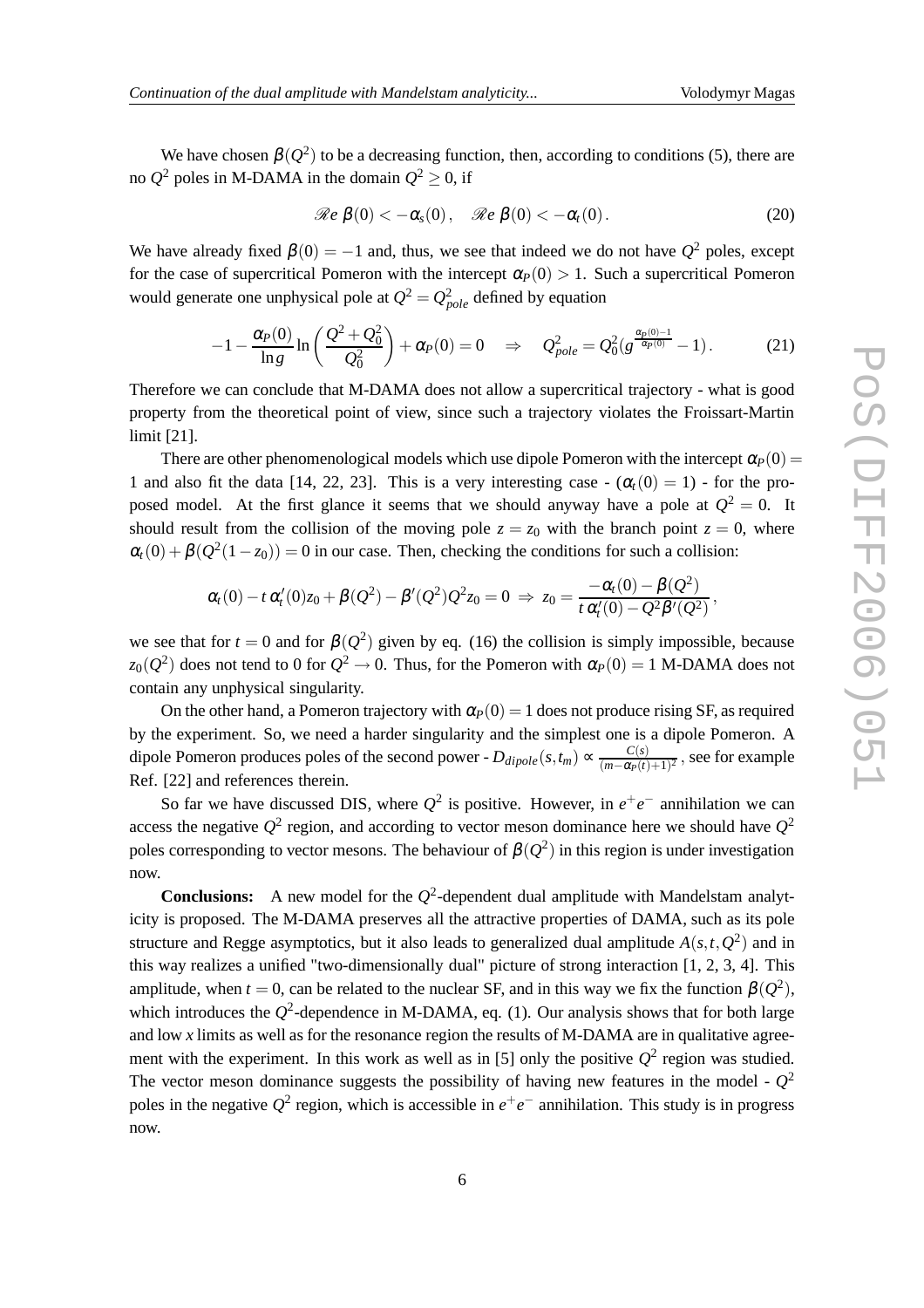We have chosen  $\beta(Q^2)$  to be a decreasing function, then, according to conditions (5), there are no  $Q^2$  poles in M-DAMA in the domain  $Q^2 \geq 0$ , if

$$
\Re e \beta(0) < -\alpha_s(0), \quad \Re e \beta(0) < -\alpha_t(0).
$$
 (20)

We have already fixed  $\beta(0) = -1$  and, thus, we see that indeed we do not have  $Q^2$  poles, except for the case of supercritical Pomeron with the intercept  $\alpha_P(0) > 1$ . Such a supercritical Pomeron would generate one unphysical pole at  $Q^2 = Q_{pole}^2$  defined by equation

$$
-1 - \frac{\alpha_P(0)}{\ln g} \ln \left( \frac{Q^2 + Q_0^2}{Q_0^2} \right) + \alpha_P(0) = 0 \quad \Rightarrow \quad Q_{pole}^2 = Q_0^2 (g^{\frac{\alpha_P(0)-1}{\alpha_P(0)}} - 1). \tag{21}
$$

Therefore we can conclude that M-DAMA does not allow a supercritical trajectory - what is good property from the theoretical point of view, since such a trajectory violates the Froissart-Martin limit [21].

There are other phenomenological models which use dipole Pomeron with the intercept  $\alpha_P(0)$ 1 and also fit the data [14, 22, 23]. This is a very interesting case  $-(\alpha_t(0) = 1)$  - for the proposed model. At the first glance it seems that we should anyway have a pole at  $Q^2 = 0$ . It should result from the collision of the moving pole  $z = z_0$  with the branch point  $z = 0$ , where  $\alpha_t(0) + \beta(Q^2(1-z_0)) = 0$  in our case. Then, checking the conditions for such a collision:

$$
\alpha_t(0) - t \alpha'_t(0) z_0 + \beta(Q^2) - \beta'(Q^2) Q^2 z_0 = 0 \ \Rightarrow \ z_0 = \frac{-\alpha_t(0) - \beta(Q^2)}{t \alpha'_t(0) - Q^2 \beta'(Q^2)},
$$

we see that for  $t = 0$  and for  $\beta(Q^2)$  given by eq. (16) the collision is simply impossible, because *z*<sub>0</sub>( $Q^2$ ) does not tend to 0 for  $Q^2 \rightarrow$  0. Thus, for the Pomeron with  $\alpha_P(0) = 1$  M-DAMA does not contain any unphysical singularity.

On the other hand, a Pomeron trajectory with  $\alpha_P(0) = 1$  does not produce rising SF, as required by the experiment. So, we need a harder singularity and the simplest one is a dipole Pomeron. A dipole Pomeron produces poles of the second power -  $D_{dipole}(s, t_m) \propto \frac{C(s)}{(m - \alpha_0 t)}$  $\frac{C(s)}{(m-\alpha_P(t)+1)^2}$ , see for example Ref. [22] and references therein.

So far we have discussed DIS, where  $Q^2$  is positive. However, in  $e^+e^-$  annihilation we can access the negative  $Q^2$  region, and according to vector meson dominance here we should have  $Q^2$ poles corresponding to vector mesons. The behaviour of  $\beta(Q^2)$  in this region is under investigation now.

**Conclusions:** A new model for the  $Q^2$ -dependent dual amplitude with Mandelstam analyticity is proposed. The M-DAMA preserves all the attractive properties of DAMA, such as its pole structure and Regge asymptotics, but it also leads to generalized dual amplitude  $A(s,t,Q^2)$  and in this way realizes a unified "two-dimensionally dual" picture of strong interaction [1, 2, 3, 4]. This amplitude, when  $t = 0$ , can be related to the nuclear SF, and in this way we fix the function  $\beta(Q^2)$ , which introduces the  $Q^2$ -dependence in M-DAMA, eq. (1). Our analysis shows that for both large and low *x* limits as well as for the resonance region the results of M-DAMA are in qualitative agreement with the experiment. In this work as well as in [5] only the positive  $Q^2$  region was studied. The vector meson dominance suggests the possibility of having new features in the model -  $Q^2$ poles in the negative  $Q^2$  region, which is accessible in  $e^+e^-$  annihilation. This study is in progress now.